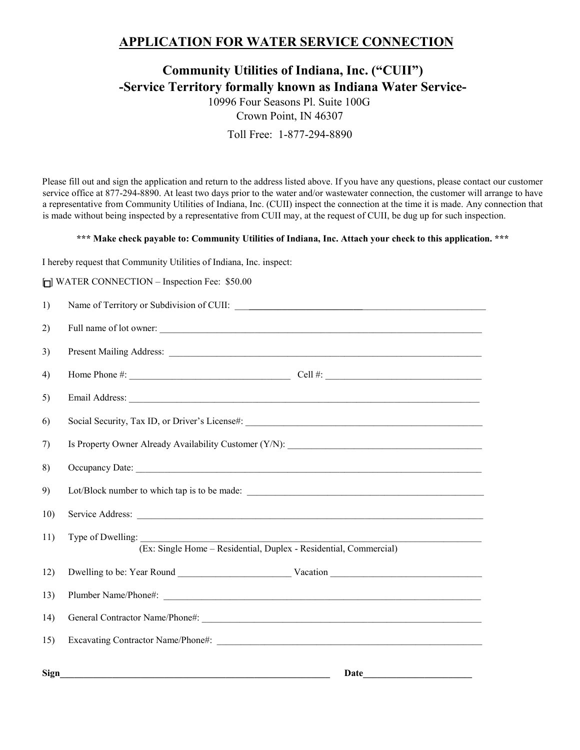## **APPLICATION FOR WATER SERVICE CONNECTION**

## **Community Utilities of Indiana, Inc. ("CUII") -Service Territory formally known as Indiana Water Service-**

10996 Four Seasons Pl. Suite 100G Crown Point, IN 46307 Toll Free: 1-877-294-8890

Please fill out and sign the application and return to the address listed above. If you have any questions, please contact our customer service office at 877-294-8890. At least two days prior to the water and/or wastewater connection, the customer will arrange to have a representative from Community Utilities of Indiana, Inc. (CUII) inspect the connection at the time it is made. Any connection that is made without being inspected by a representative from CUII may, at the request of CUII, be dug up for such inspection.

## **\*\*\* Make check payable to: Community Utilities of Indiana, Inc. Attach your check to this application. \*\*\***

I hereby request that Community Utilities of Indiana, Inc. inspect:

 $\Box$  WATER CONNECTION – Inspection Fee: \$50.00

| 1)          |                                                                                        |
|-------------|----------------------------------------------------------------------------------------|
| 2)          | Full name of lot owner:                                                                |
| 3)          |                                                                                        |
| 4)          |                                                                                        |
| 5)          |                                                                                        |
| 6)          | Social Security, Tax ID, or Driver's License#: __________________________________      |
| 7)          | Is Property Owner Already Availability Customer (Y/N): __________________________      |
| 8)          |                                                                                        |
| 9)          |                                                                                        |
| 10)         |                                                                                        |
| 11)         | Type of Dwelling:<br>(Ex: Single Home - Residential, Duplex - Residential, Commercial) |
| 12)         |                                                                                        |
| 13)         | Plumber Name/Phone#:                                                                   |
| 14)         |                                                                                        |
| 15)         |                                                                                        |
| <b>Sign</b> | Date                                                                                   |